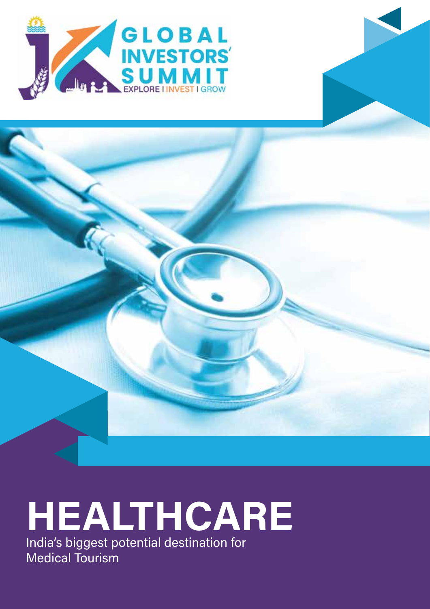



# HEALTHCARE India's biggest potential destination for

Medical Tourism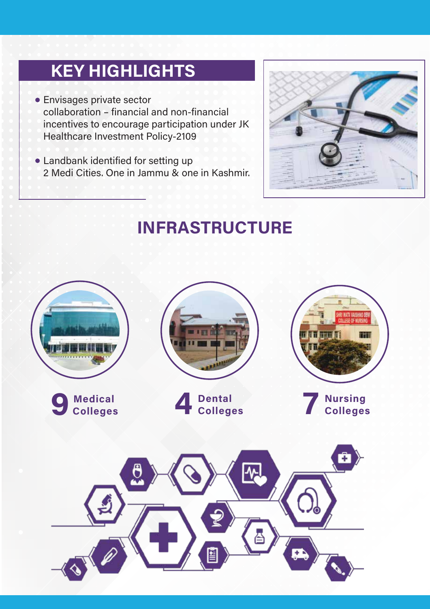## **KEY HIGHLIGHTS**

• Envisages private sector collaboration - financial and non-financial incentives to encourage participation under JK Healthcare Investment Policy-2109

• Landbank identified for setting up 2 Medi Cities, One in Jammu & one in Kashmir.



## **INFRASTRUCTURE**

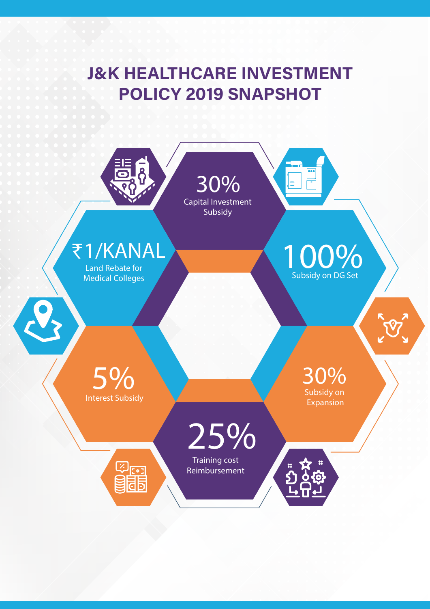### **J&K HEALTHCARE INVESTMENT POLICY 2019 SNAPSHOT**